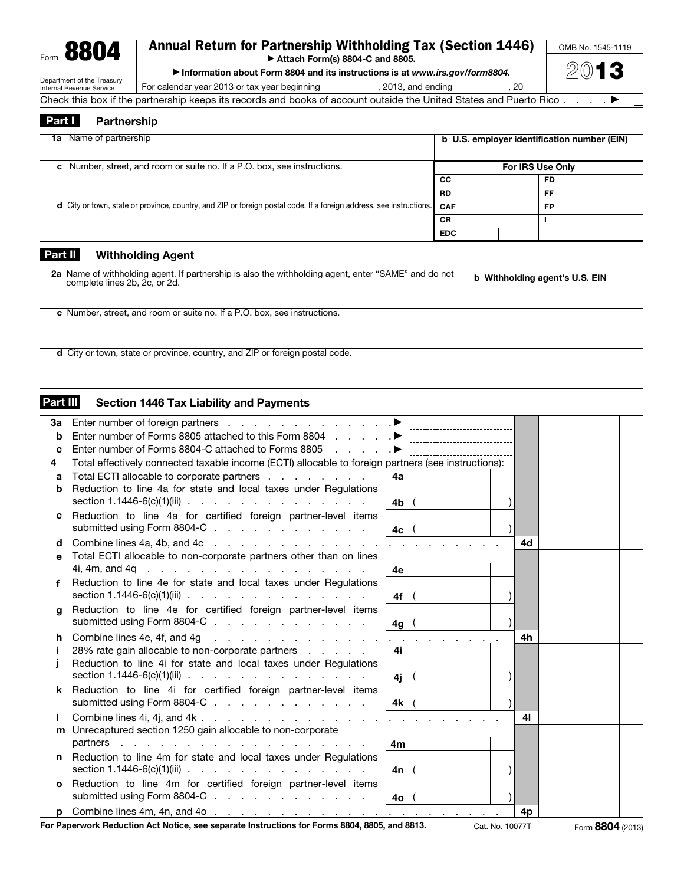## Annual Return for Partnership Withholding Tax (Section 1446)

▶ Attach Form(s) 8804-C and 8805.

▶ Information about Form 8804 and its instructions is at *www.irs.gov/form8804.*

Department of the Treasury Internal Revenue Service For calendar year 2013 or tax year beginning and pays and ending and ending and  $(2013, 2013)$ 

Check this box if the partnership keeps its records and books of account outside the United States and Puerto Rico . . . . . ▶

2013

П

## Part I Partnership

| <b>1a</b> Name of partnership                                                                                           | b U.S. employer identification number (EIN) |                  |  |           |  |  |  |
|-------------------------------------------------------------------------------------------------------------------------|---------------------------------------------|------------------|--|-----------|--|--|--|
| c Number, street, and room or suite no. If a P.O. box, see instructions.                                                |                                             | For IRS Use Only |  |           |  |  |  |
|                                                                                                                         | CC                                          |                  |  | <b>FD</b> |  |  |  |
|                                                                                                                         | <b>RD</b>                                   |                  |  | FF        |  |  |  |
| d City or town, state or province, country, and ZIP or foreign postal code. If a foreign address, see instructions. CAF | <b>CR</b>                                   |                  |  | <b>FP</b> |  |  |  |
|                                                                                                                         |                                             |                  |  |           |  |  |  |
|                                                                                                                         | <b>EDC</b>                                  |                  |  |           |  |  |  |

## Part II Withholding Agent

| 2a Name of withholding agent. If partnership is also the withholding agent, enter "SAME" and do not<br>complete lines 2b, 2c, or 2d. | b Withholding agent's U.S. EIN |
|--------------------------------------------------------------------------------------------------------------------------------------|--------------------------------|
|                                                                                                                                      |                                |

c Number, street, and room or suite no. If a P.O. box, see instructions.

d City or town, state or province, country, and ZIP or foreign postal code.

## Part III Section 1446 Tax Liability and Payments

|    |                                                                                                     |                | ------------------------------- |                 |    |                  |  |
|----|-----------------------------------------------------------------------------------------------------|----------------|---------------------------------|-----------------|----|------------------|--|
| b  | Enter number of Forms 8805 attached to this Form 8804 ▶                                             |                | _________________________       |                 |    |                  |  |
| c  | Enter number of Forms 8804-C attached to Forms 8805                                                 |                |                                 |                 |    |                  |  |
| 4  | Total effectively connected taxable income (ECTI) allocable to foreign partners (see instructions): |                |                                 |                 |    |                  |  |
| a  | Total ECTI allocable to corporate partners                                                          | 4a             |                                 |                 |    |                  |  |
| b  | Reduction to line 4a for state and local taxes under Regulations                                    |                |                                 |                 |    |                  |  |
|    | section 1.1446-6(c)(1)(iii)                                                                         | 4b             |                                 |                 |    |                  |  |
| С  | Reduction to line 4a for certified foreign partner-level items                                      |                |                                 |                 |    |                  |  |
|    | submitted using Form 8804-C                                                                         | 4c             |                                 |                 |    |                  |  |
| d  | Combine lines 4a, 4b, and 4c $\ldots$ $\ldots$ $\ldots$ $\ldots$ $\ldots$ $\ldots$                  | <b>Service</b> |                                 |                 | 4d |                  |  |
| e  | Total ECTI allocable to non-corporate partners other than on lines                                  |                |                                 |                 |    |                  |  |
|    | 4i, 4m, and 4q $\ldots$ $\ldots$ $\ldots$ $\ldots$ $\ldots$ $\ldots$ $\ldots$ $\ldots$              | 4e             |                                 |                 |    |                  |  |
| f  | Reduction to line 4e for state and local taxes under Regulations                                    |                |                                 |                 |    |                  |  |
|    | section 1.1446-6(c)(1)(iii)                                                                         | 4f             |                                 |                 |    |                  |  |
| a  | Reduction to line 4e for certified foreign partner-level items                                      |                |                                 |                 |    |                  |  |
|    | submitted using Form 8804-C                                                                         | 4g             |                                 |                 |    |                  |  |
| h. | Combine lines 4e, 4f, and 4g $\ldots$ , $\ldots$ , $\ldots$ , $\ldots$ , $\ldots$                   |                |                                 |                 | 4h |                  |  |
|    | 28% rate gain allocable to non-corporate partners                                                   | 4i             |                                 |                 |    |                  |  |
|    | Reduction to line 4i for state and local taxes under Regulations                                    |                |                                 |                 |    |                  |  |
|    | section 1.1446-6(c)(1)(iii)                                                                         | 4j             |                                 |                 |    |                  |  |
|    | k Reduction to line 4i for certified foreign partner-level items                                    |                |                                 |                 |    |                  |  |
|    | submitted using Form 8804-C                                                                         | 4k             |                                 |                 |    |                  |  |
|    |                                                                                                     |                |                                 |                 | 4I |                  |  |
|    | m Unrecaptured section 1250 gain allocable to non-corporate                                         |                |                                 |                 |    |                  |  |
|    |                                                                                                     | 4 <sub>m</sub> |                                 |                 |    |                  |  |
| n. | Reduction to line 4m for state and local taxes under Regulations<br>section 1.1446-6(c)(1)(iii)     |                |                                 |                 |    |                  |  |
|    |                                                                                                     | 4n             |                                 |                 |    |                  |  |
| O  | Reduction to line 4m for certified foreign partner-level items<br>submitted using Form 8804-C       |                |                                 |                 |    |                  |  |
|    |                                                                                                     | 40             |                                 |                 |    |                  |  |
|    |                                                                                                     |                |                                 |                 | 4p |                  |  |
|    | For Paperwork Reduction Act Notice, see separate Instructions for Forms 8804, 8805, and 8813.       |                |                                 | Cat. No. 10077T |    | Form 8804 (2013) |  |